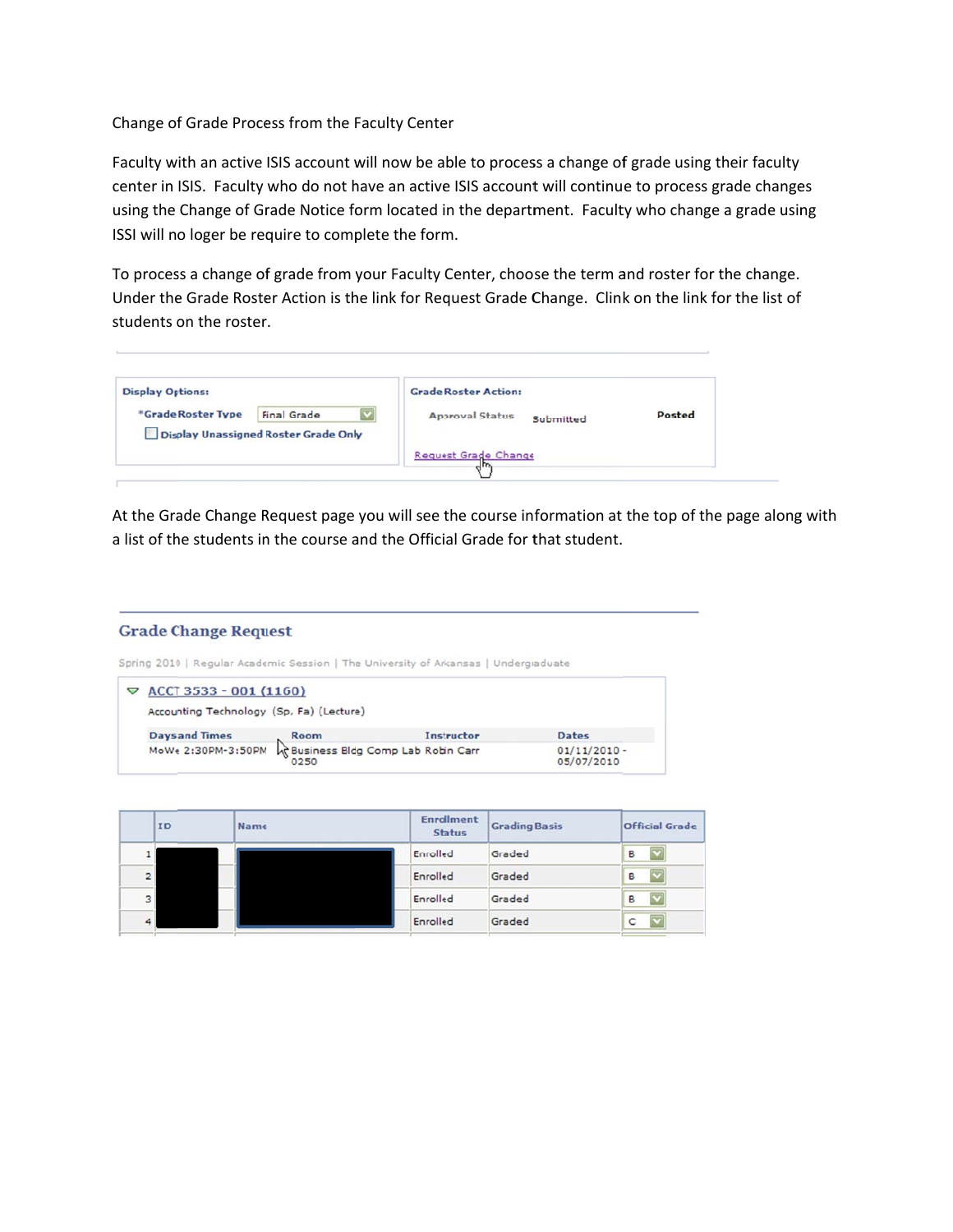## Change of Grade Process from the Faculty Center

Faculty with an active ISIS account will now be able to process a change of grade using their faculty center in ISIS. Faculty who do not have an active ISIS account will continue to process grade changes using the Change of Grade Notice form located in the department. Faculty who change a grade using ISSI will no loger be require to complete the form.

To process a change of grade from your Faculty Center, choose the term and roster for the change. Under the Grade Roster Action is the link for Request Grade Change. Clink on the link for the list of students on the roster.

| <b>Display Options:</b>                     | <b>Grade Roster Action:</b>         |        |
|---------------------------------------------|-------------------------------------|--------|
| *Grade Roster Type<br><b>Final Grade</b>    | <b>Approval Status</b><br>Submitted | Posted |
| <b>Display Unassigned Roster Grade Only</b> |                                     |        |
|                                             | Request Grade Change                |        |

At the Grade Change Request page you will see the course information at the top of the page along a list of the students in the course and the Official Grade for that student. f<br>g<br>with

## **Grade Change Request**

Spring 2010 | Regular Academic Session | The University of Arkansas | Undergraduate



|                | ID | <b>Name</b> | <b>Enrollment</b><br><b>Status</b> | <b>Grading Basis</b> | <b>Official Grade</b>        |  |  |
|----------------|----|-------------|------------------------------------|----------------------|------------------------------|--|--|
|                |    |             | Enrolled                           | Graded               | $\overline{\mathbf{v}}$<br>B |  |  |
| 2 <sup>1</sup> |    |             | Enrolled                           | Graded               | $\overline{\mathbf{v}}$<br>B |  |  |
| 3              |    |             | Enrolled                           | Graded               | $\overline{\mathbf{v}}$<br>в |  |  |
|                |    |             | Enrolled                           | Graded               | $\overline{\mathbf{v}}$<br>C |  |  |